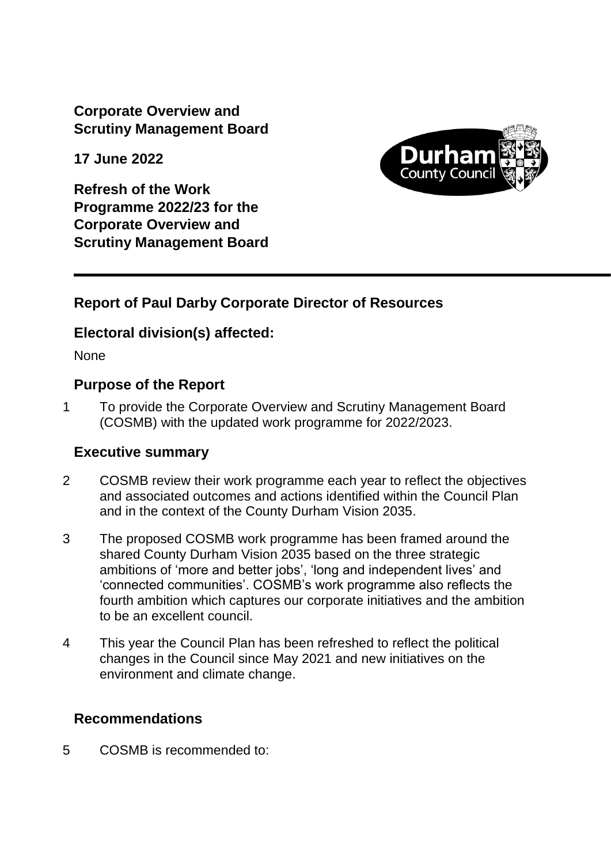**Corporate Overview and Scrutiny Management Board**

**17 June 2022**

**Refresh of the Work Programme 2022/23 for the Corporate Overview and Scrutiny Management Board**



## **Report of Paul Darby Corporate Director of Resources**

## **Electoral division(s) affected:**

None

## **Purpose of the Report**

1 To provide the Corporate Overview and Scrutiny Management Board (COSMB) with the updated work programme for 2022/2023.

## **Executive summary**

- 2 COSMB review their work programme each year to reflect the objectives and associated outcomes and actions identified within the Council Plan and in the context of the County Durham Vision 2035.
- 3 The proposed COSMB work programme has been framed around the shared County Durham Vision 2035 based on the three strategic ambitions of 'more and better jobs', 'long and independent lives' and 'connected communities'. COSMB's work programme also reflects the fourth ambition which captures our corporate initiatives and the ambition to be an excellent council.
- 4 This year the Council Plan has been refreshed to reflect the political changes in the Council since May 2021 and new initiatives on the environment and climate change.

## **Recommendations**

5 COSMB is recommended to: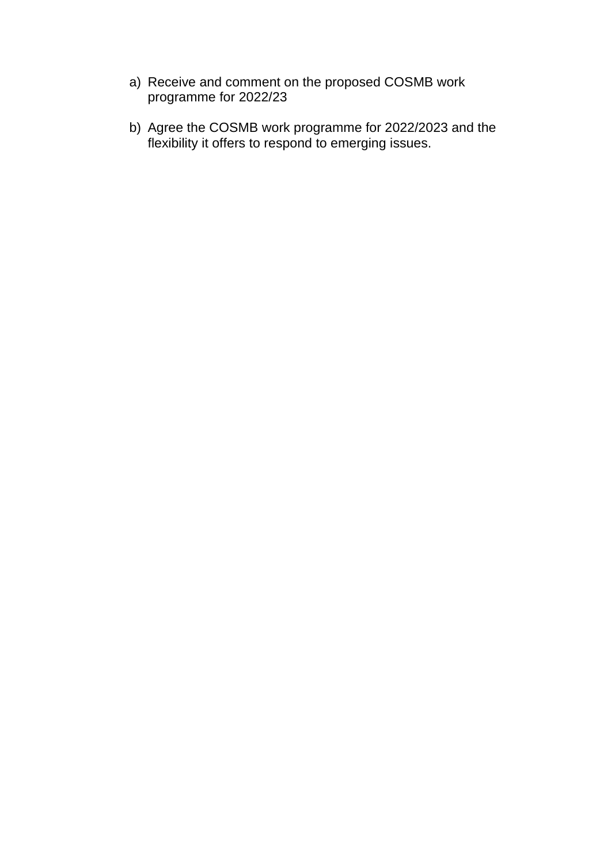- a) Receive and comment on the proposed COSMB work programme for 2022/23
- b) Agree the COSMB work programme for 2022/2023 and the flexibility it offers to respond to emerging issues.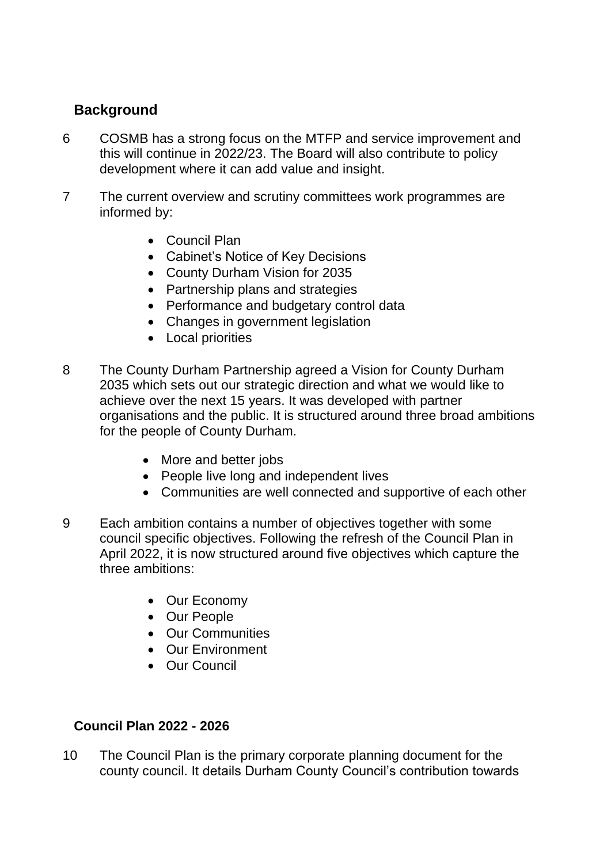# **Background**

- 6 COSMB has a strong focus on the MTFP and service improvement and this will continue in 2022/23. The Board will also contribute to policy development where it can add value and insight.
- 7 The current overview and scrutiny committees work programmes are informed by:
	- Council Plan
	- Cabinet's Notice of Key Decisions
	- County Durham Vision for 2035
	- Partnership plans and strategies
	- Performance and budgetary control data
	- Changes in government legislation
	- Local priorities
- 8 The County Durham Partnership agreed a Vision for County Durham 2035 which sets out our strategic direction and what we would like to achieve over the next 15 years. It was developed with partner organisations and the public. It is structured around three broad ambitions for the people of County Durham.
	- More and better jobs
	- People live long and independent lives
	- Communities are well connected and supportive of each other
- 9 Each ambition contains a number of objectives together with some council specific objectives. Following the refresh of the Council Plan in April 2022, it is now structured around five objectives which capture the three ambitions:
	- Our Economy
	- Our People
	- Our Communities
	- Our Environment
	- Our Council

## **Council Plan 2022 - 2026**

10 The Council Plan is the primary corporate planning document for the county council. It details Durham County Council's contribution towards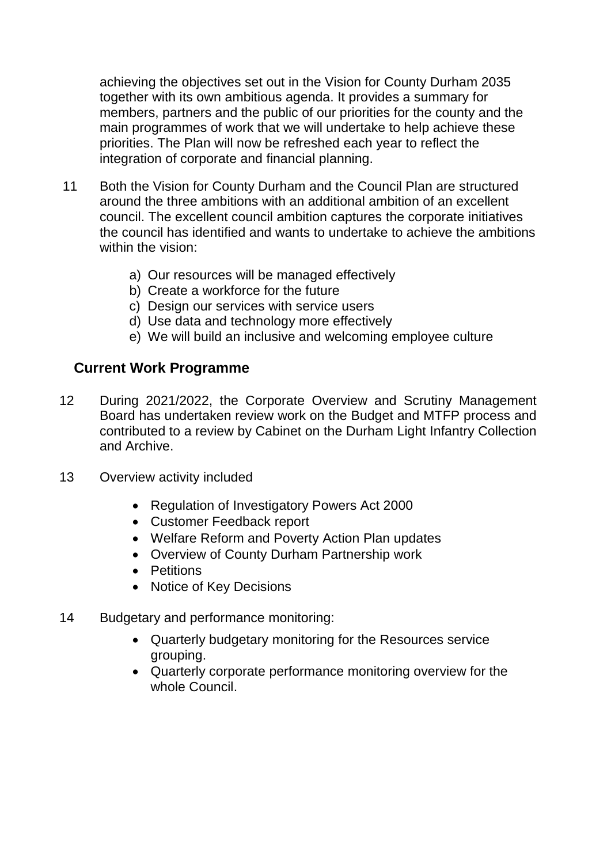achieving the objectives set out in the Vision for County Durham 2035 together with its own ambitious agenda. It provides a summary for members, partners and the public of our priorities for the county and the main programmes of work that we will undertake to help achieve these priorities. The Plan will now be refreshed each year to reflect the integration of corporate and financial planning.

- 11 Both the Vision for County Durham and the Council Plan are structured around the three ambitions with an additional ambition of an excellent council. The excellent council ambition captures the corporate initiatives the council has identified and wants to undertake to achieve the ambitions within the vision:
	- a) Our resources will be managed effectively
	- b) Create a workforce for the future
	- c) Design our services with service users
	- d) Use data and technology more effectively
	- e) We will build an inclusive and welcoming employee culture

#### **Current Work Programme**

- 12 During 2021/2022, the Corporate Overview and Scrutiny Management Board has undertaken review work on the Budget and MTFP process and contributed to a review by Cabinet on the Durham Light Infantry Collection and Archive.
- 13 Overview activity included
	- Regulation of Investigatory Powers Act 2000
	- Customer Feedback report
	- Welfare Reform and Poverty Action Plan updates
	- Overview of County Durham Partnership work
	- Petitions
	- Notice of Key Decisions
- 14 Budgetary and performance monitoring:
	- Quarterly budgetary monitoring for the Resources service grouping.
	- Quarterly corporate performance monitoring overview for the whole Council.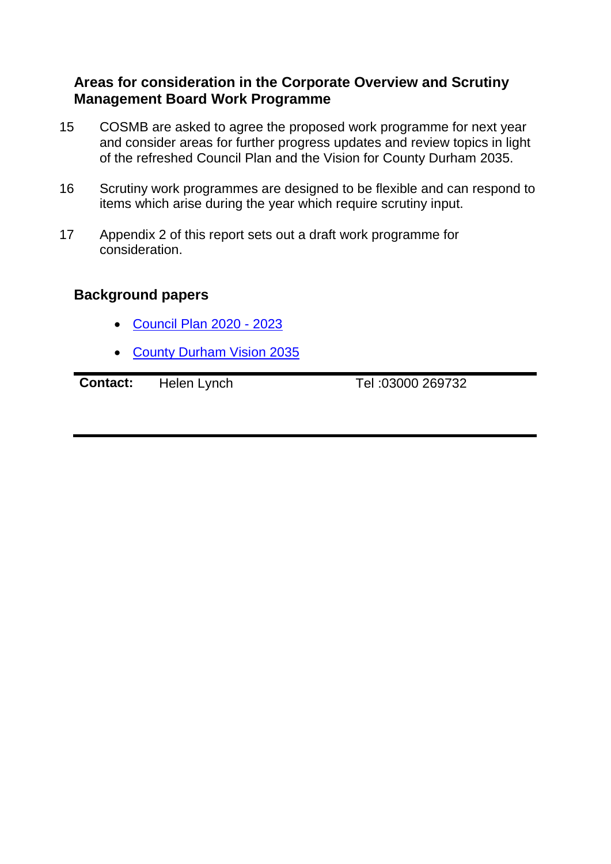#### **Areas for consideration in the Corporate Overview and Scrutiny Management Board Work Programme**

- 15 COSMB are asked to agree the proposed work programme for next year and consider areas for further progress updates and review topics in light of the refreshed Council Plan and the Vision for County Durham 2035.
- 16 Scrutiny work programmes are designed to be flexible and can respond to items which arise during the year which require scrutiny input.
- 17 Appendix 2 of this report sets out a draft work programme for consideration.

# **Background papers**

- [Council Plan 2020 -](http://www.durham.gov.uk/media/34954/Durham-County-Council-Plan-2020-23/pdf/DurhamCountyCouncilPlan2020To23.pdf?m=637497561229730000) 2023
- [County Durham Vision 2035](https://countydurhampartnership.co.uk/county-durham-partnership/county-durham-vision-2035/)

**Contact:** Helen Lynch Tel[:03000](Tel:03000) 269732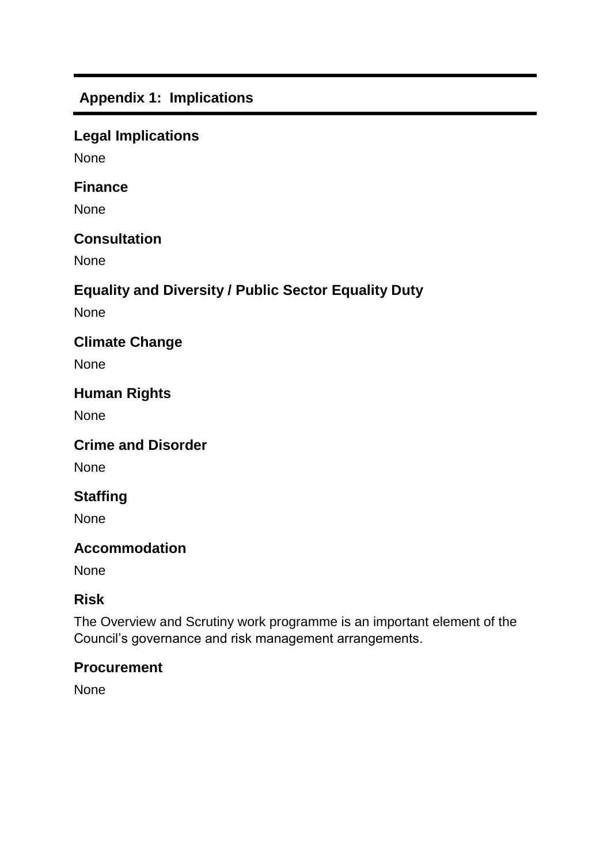# **Appendix 1: Implications**

## **Legal Implications**

None

#### **Finance**

None

#### **Consultation**

None

## **Equality and Diversity / Public Sector Equality Duty**

None

## **Climate Change**

None

## **Human Rights**

None

## **Crime and Disorder**

None

# **Staffing**

None

# **Accommodation**

None

## **Risk**

The Overview and Scrutiny work programme is an important element of the Council's governance and risk management arrangements.

## **Procurement**

None